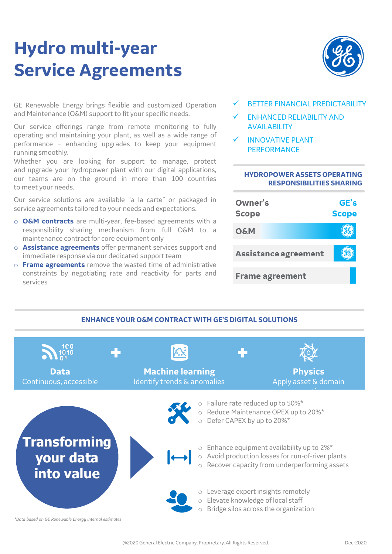# **Hydro multi-year Service Agreements**



GE Renewable Energy brings flexible and customized Operation and Maintenance (O&M) support to fit your specific needs.

Our service offerings range from remote monitoring to fully operating and maintaining your plant, as well as a wide range of performance – enhancing upgrades to keep your equipment running smoothly.

Whether you are looking for support to manage, protect and upgrade your hydropower plant with our digital applications, our teams are on the ground in more than 100 countries to meet your needs.

Our service solutions are available "a la carte" or packaged in service agreements tailored to your needs and expectations.

- o **O&M contracts** are multi-year, fee-based agreements with a responsibility sharing mechanism from full O&M to a maintenance contract for core equipment only
- o **Assistance agreements** offer permanent services support and immediate response via our dedicated support team
- o **Frame agreements** remove the wasted time of administrative constraints by negotiating rate and reactivity for parts and services
- BETTER FINANCIAL PREDICTABILITY
- ✓ ENHANCED RELIABILITY AND AVAILABILITY
- **INNOVATIVE PLANT PERFORMANCE**

#### **HYDROPOWER ASSETS OPERATING RESPONSIBILITIES SHARING**



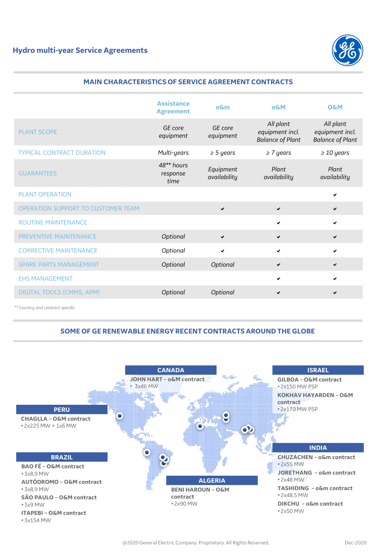

## **MAIN CHARACTERISTICS OF SERVICE AGREEMENT CONTRACTS**

|                                    | <b>Assistance</b><br><b>Agreement</b> | $o$ &m                    | <b>O&amp;M</b>                                          | <b>O&amp;M</b>                                          |
|------------------------------------|---------------------------------------|---------------------------|---------------------------------------------------------|---------------------------------------------------------|
| PLANT SCOPE                        | GE core<br>equipment                  | GF core<br>equipment      | All plant<br>equipment incl.<br><b>Balance of Plant</b> | All plant<br>equipment incl.<br><b>Balance of Plant</b> |
| <b>TYPICAL CONTRACT DURATION</b>   | Multi-years                           | $\geq 5$ years            | $\geq 7$ years                                          | $\geq 10$ years                                         |
| <b>GUARANTEES</b>                  | $48**$ hours<br>response<br>time      | Equipment<br>availability | Plant<br>availability                                   | Plant<br>availability                                   |
| PLANT OPERATION                    |                                       |                           |                                                         | ✔                                                       |
| OPERATION SUPPORT TO CUSTOMER TEAM |                                       | $\checkmark$              | $\checkmark$                                            | $\checkmark$                                            |
| <b>ROUTINE MAINTENANCE</b>         |                                       |                           | $\checkmark$                                            | ✔                                                       |
| <b>PREVENTIVE MAINTENANCE</b>      | Optional                              | $\checkmark$              | $\checkmark$                                            | ✔                                                       |
| <b>CORRECTIVE MAINTENANCE</b>      | Optional                              | ✔                         | $\checkmark$                                            | ✔                                                       |
| <b>SPARE PARTS MANAGEMENT</b>      | Optional                              | Optional                  | $\checkmark$                                            | ✔                                                       |
| <b>EHS MANAGEMENT</b>              |                                       |                           | $\checkmark$                                            | ✔                                                       |
| DIGITAL TOOLS (CMMS, APM)          | Optional                              | Optional                  | $\checkmark$                                            | ✔                                                       |

*\*\* Country and contract specific*

# **SOME OF GE RENEWABLE ENERGY RECENT CONTRACTS AROUND THE GLOBE**